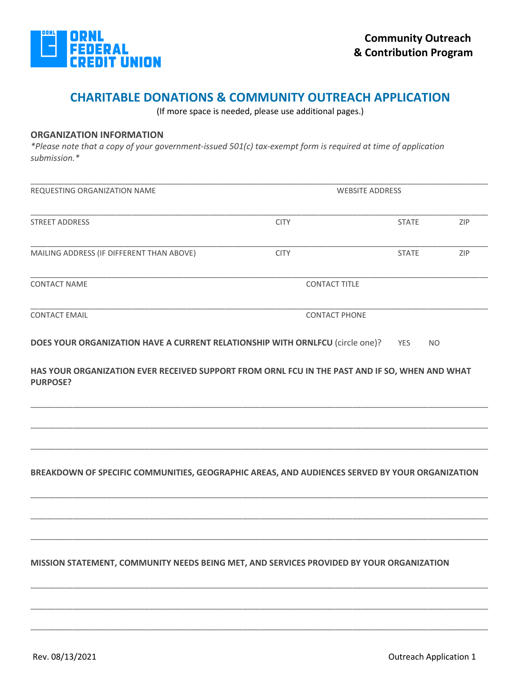

(If more space is needed, please use additional pages.)

# **ORGANIZATION INFORMATION**

*\*Please note that a copy of your government-issued 501(c) tax-exempt form is required at time of application submission.\**

| REQUESTING ORGANIZATION NAME                                                                                      | <b>WEBSITE ADDRESS</b> |              |                |
|-------------------------------------------------------------------------------------------------------------------|------------------------|--------------|----------------|
| <b>STREET ADDRESS</b>                                                                                             | <b>CITY</b>            | <b>STATE</b> | ZIP            |
| MAILING ADDRESS (IF DIFFERENT THAN ABOVE)                                                                         | <b>CITY</b>            | <b>STATE</b> | ZIP            |
| <b>CONTACT NAME</b>                                                                                               | <b>CONTACT TITLE</b>   |              |                |
| <b>CONTACT EMAIL</b>                                                                                              | <b>CONTACT PHONE</b>   |              |                |
| DOES YOUR ORGANIZATION HAVE A CURRENT RELATIONSHIP WITH ORNLFCU (circle one)?                                     |                        | <b>YES</b>   | N <sub>O</sub> |
| HAS YOUR ORGANIZATION EVER RECEIVED SUPPORT FROM ORNL FCU IN THE PAST AND IF SO, WHEN AND WHAT<br><b>PURPOSE?</b> |                        |              |                |
| BREAKDOWN OF SPECIFIC COMMUNITIES, GEOGRAPHIC AREAS, AND AUDIENCES SERVED BY YOUR ORGANIZATION                    |                        |              |                |
|                                                                                                                   |                        |              |                |
| MISSION STATEMENT, COMMUNITY NEEDS BEING MET, AND SERVICES PROVIDED BY YOUR ORGANIZATION                          |                        |              |                |
|                                                                                                                   |                        |              |                |

\_\_\_\_\_\_\_\_\_\_\_\_\_\_\_\_\_\_\_\_\_\_\_\_\_\_\_\_\_\_\_\_\_\_\_\_\_\_\_\_\_\_\_\_\_\_\_\_\_\_\_\_\_\_\_\_\_\_\_\_\_\_\_\_\_\_\_\_\_\_\_\_\_\_\_\_\_\_\_\_\_\_\_\_\_\_\_\_\_\_\_\_\_\_\_\_\_\_\_\_\_\_\_\_\_\_\_\_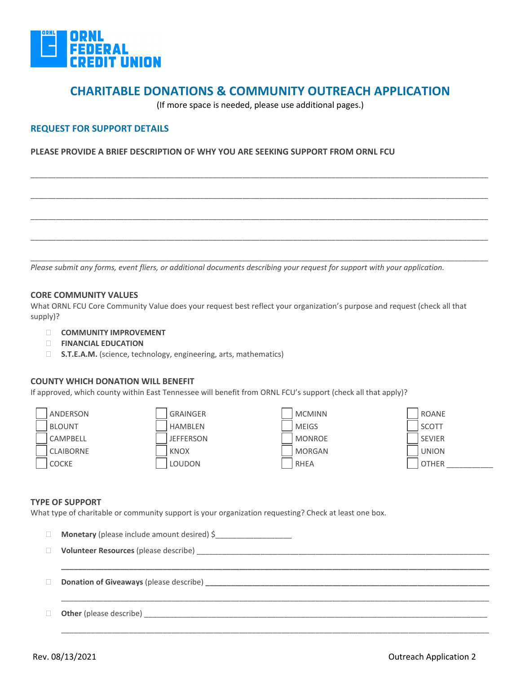

(If more space is needed, please use additional pages.)

\_\_\_\_\_\_\_\_\_\_\_\_\_\_\_\_\_\_\_\_\_\_\_\_\_\_\_\_\_\_\_\_\_\_\_\_\_\_\_\_\_\_\_\_\_\_\_\_\_\_\_\_\_\_\_\_\_\_\_\_\_\_\_\_\_\_\_\_\_\_\_\_\_\_\_\_\_\_\_\_\_\_\_\_\_\_\_\_\_\_\_\_\_\_\_\_\_\_\_\_\_\_\_\_\_\_\_\_

\_\_\_\_\_\_\_\_\_\_\_\_\_\_\_\_\_\_\_\_\_\_\_\_\_\_\_\_\_\_\_\_\_\_\_\_\_\_\_\_\_\_\_\_\_\_\_\_\_\_\_\_\_\_\_\_\_\_\_\_\_\_\_\_\_\_\_\_\_\_\_\_\_\_\_\_\_\_\_\_\_\_\_\_\_\_\_\_\_\_\_\_\_\_\_\_\_\_\_\_\_\_\_\_\_\_\_\_

\_\_\_\_\_\_\_\_\_\_\_\_\_\_\_\_\_\_\_\_\_\_\_\_\_\_\_\_\_\_\_\_\_\_\_\_\_\_\_\_\_\_\_\_\_\_\_\_\_\_\_\_\_\_\_\_\_\_\_\_\_\_\_\_\_\_\_\_\_\_\_\_\_\_\_\_\_\_\_\_\_\_\_\_\_\_\_\_\_\_\_\_\_\_\_\_\_\_\_\_\_\_\_\_\_\_\_\_

\_\_\_\_\_\_\_\_\_\_\_\_\_\_\_\_\_\_\_\_\_\_\_\_\_\_\_\_\_\_\_\_\_\_\_\_\_\_\_\_\_\_\_\_\_\_\_\_\_\_\_\_\_\_\_\_\_\_\_\_\_\_\_\_\_\_\_\_\_\_\_\_\_\_\_\_\_\_\_\_\_\_\_\_\_\_\_\_\_\_\_\_\_\_\_\_\_\_\_\_\_\_\_\_\_\_\_\_

\_\_\_\_\_\_\_\_\_\_\_\_\_\_\_\_\_\_\_\_\_\_\_\_\_\_\_\_\_\_\_\_\_\_\_\_\_\_\_\_\_\_\_\_\_\_\_\_\_\_\_\_\_\_\_\_\_\_\_\_\_\_\_\_\_\_\_\_\_\_\_\_\_\_\_\_\_\_\_\_\_\_\_\_\_\_\_\_\_\_\_\_\_\_\_\_\_\_\_\_\_\_\_\_\_\_\_\_

# **REQUEST FOR SUPPORT DETAILS**

## **PLEASE PROVIDE A BRIEF DESCRIPTION OF WHY YOU ARE SEEKING SUPPORT FROM ORNL FCU**

*Please submit any forms, event fliers, or additional documents describing your request for support with your application.* 

## **CORE COMMUNITY VALUES**

What ORNL FCU Core Community Value does your request best reflect your organization's purpose and request (check all that supply)?

- **COMMUNITY IMPROVEMENT**
- **FINANCIAL EDUCATION**
- □ **S.T.E.A.M.** (science, technology, engineering, arts, mathematics)

#### **COUNTY WHICH DONATION WILL BENEFIT**

If approved, which county within East Tennessee will benefit from ORNL FCU's support (check all that apply)?



| ANDERSON      | <b>GRAINGER</b>  | <b>MCMINN</b> | <b>ROANE</b>  |
|---------------|------------------|---------------|---------------|
| <b>BLOUNT</b> | <b>HAMBLEN</b>   | <b>MEIGS</b>  | <b>SCOTT</b>  |
| CAMPBELL      | <b>JEFFERSON</b> | <b>MONROE</b> | <b>SEVIER</b> |
| CLAIBORNE     | <b>KNOX</b>      | MORGAN        | <b>UNION</b>  |
| COCKE         | <b>LOUDON</b>    | RHEA          | <b>OTHER</b>  |



#### **TYPE OF SUPPORT**

What type of charitable or community support is your organization requesting? Check at least one box.

|              | Monetary (please include amount desired) \$                                                                                                                                                                                    |
|--------------|--------------------------------------------------------------------------------------------------------------------------------------------------------------------------------------------------------------------------------|
|              |                                                                                                                                                                                                                                |
|              |                                                                                                                                                                                                                                |
| $\mathbb{R}$ |                                                                                                                                                                                                                                |
|              |                                                                                                                                                                                                                                |
|              | Other (please describe) example and the set of the set of the set of the set of the set of the set of the set of the set of the set of the set of the set of the set of the set of the set of the set of the set of the set of |
|              |                                                                                                                                                                                                                                |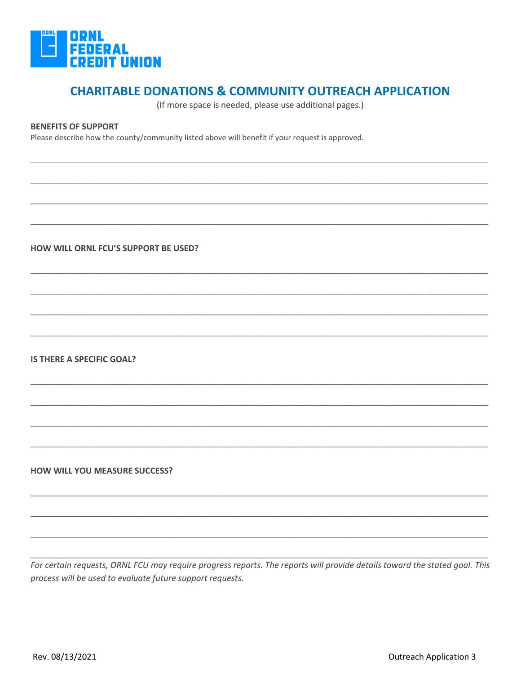

(If more space is needed, please use additional pages.)

# **BENEFITS OF SUPPORT**

Please describe how the county/community listed above will benefit if your request is approved.

HOW WILL ORNL FCU'S SUPPORT BE USED?

**IS THERE A SPECIFIC GOAL?** 

**HOW WILL YOU MEASURE SUCCESS?** 

For certain requests, ORNL FCU may require progress reports. The reports will provide details toward the stated goal. This process will be used to evaluate future support requests.